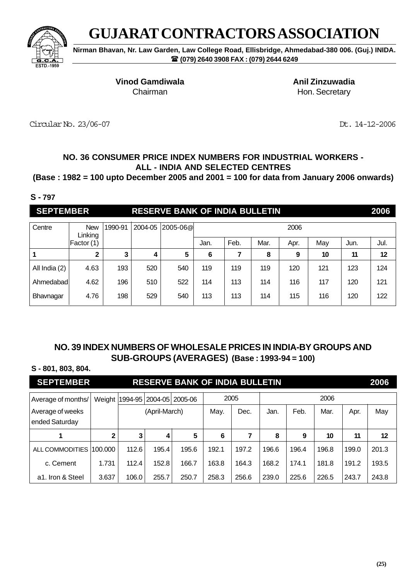

**Nirman Bhavan, Nr. Law Garden, Law College Road, Ellisbridge, Ahmedabad-380 006. (Guj.) INIDA. (079) 2640 3908 FAX : (079) 2644 6249**

**Vinod Gamdiwala Anil Zinzuwadia**

Chairman **Hon.** Secretary

Circular No. 23/06-07 Dt. 14-12-2006

## **NO. 36 CONSUMER PRICE INDEX NUMBERS FOR INDUSTRIAL WORKERS - ALL - INDIA AND SELECTED CENTRES**

**(Base : 1982 = 100 upto December 2005 and 2001 = 100 for data from January 2006 onwards)**

#### **S - 797**

| <b>SEPTEMBER</b> |                       |         |         | <b>RESERVE BANK OF INDIA BULLETIN</b> |      |      |      |      |     |      | 2006 |
|------------------|-----------------------|---------|---------|---------------------------------------|------|------|------|------|-----|------|------|
| Centre           | <b>New</b><br>Linking | 1990-91 | 2004-05 | 2005-06@                              |      |      |      | 2006 |     |      |      |
|                  | Factor (1)            |         |         |                                       | Jan. | Feb. | Mar. | Apr. | May | Jun. | Jul. |
|                  | $\mathbf 2$           | 3       | 4       | 5                                     | 6    |      | 8    | 9    | 10  | 11   | 12   |
| All India (2)    | 4.63                  | 193     | 520     | 540                                   | 119  | 119  | 119  | 120  | 121 | 123  | 124  |
| Ahmedabad        | 4.62                  | 196     | 510     | 522                                   | 114  | 113  | 114  | 116  | 117 | 120  | 121  |
| Bhavnagar        | 4.76                  | 198     | 529     | 540                                   | 113  | 113  | 114  | 115  | 116 | 120  | 122  |

## **NO. 39 INDEX NUMBERS OF WHOLESALE PRICES IN INDIA-BY GROUPS AND SUB-GROUPS (AVERAGES) (Base : 1993-94 = 100)**

### **S - 801, 803, 804.**

| <b>SEPTEMBER</b>                   |              |       |               | <b>RESERVE BANK OF INDIA BULLETIN</b> |       |       |       |       |       |       | 2006  |
|------------------------------------|--------------|-------|---------------|---------------------------------------|-------|-------|-------|-------|-------|-------|-------|
| Average of months/                 | Weight       |       |               | 1994-95 2004-05 2005-06               |       | 2005  |       |       | 2006  |       |       |
| Average of weeks<br>ended Saturday |              |       | (April-March) |                                       | May.  | Dec.  | Jan.  | Feb.  | Mar.  | Apr.  | May   |
|                                    | $\mathbf{2}$ | 3     | 4             | 5                                     | 6     | 7     | 8     | 9     | 10    | 11    | 12    |
| ALL COMMODITIES                    | 100.000      | 112.6 | 195.4         | 195.6                                 | 192.1 | 197.2 | 196.6 | 196.4 | 196.8 | 199.0 | 201.3 |
| c. Cement                          | 1.731        | 112.4 | 152.8         | 166.7                                 | 163.8 | 164.3 | 168.2 | 174.1 | 181.8 | 191.2 | 193.5 |
| a1. Iron & Steel                   | 3.637        | 106.0 | 255.7         | 250.7                                 | 258.3 | 256.6 | 239.0 | 225.6 | 226.5 | 243.7 | 243.8 |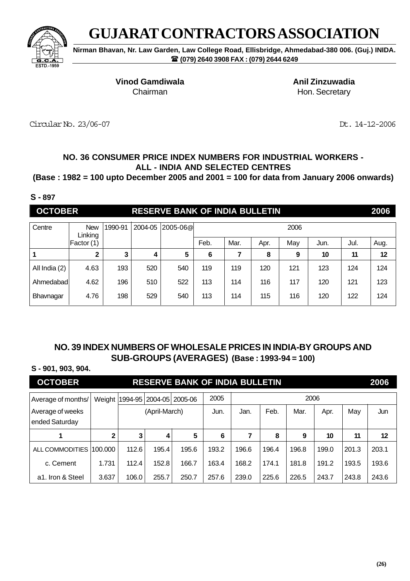

**Nirman Bhavan, Nr. Law Garden, Law College Road, Ellisbridge, Ahmedabad-380 006. (Guj.) INIDA. (079) 2640 3908 FAX : (079) 2644 6249**

**Vinod Gamdiwala Anil Zinzuwadia**

Chairman **Hon.** Secretary

Circular No. 23/06-07 Dt. 14-12-2006

## **NO. 36 CONSUMER PRICE INDEX NUMBERS FOR INDUSTRIAL WORKERS - ALL - INDIA AND SELECTED CENTRES**

**(Base : 1982 = 100 upto December 2005 and 2001 = 100 for data from January 2006 onwards)**

#### **S - 897**

| <b>OCTOBER</b> |                       |         |         | <b>RESERVE BANK OF INDIA BULLETIN</b> |      |      |      |      |      |      | 2006 |
|----------------|-----------------------|---------|---------|---------------------------------------|------|------|------|------|------|------|------|
| Centre         | <b>New</b><br>Linking | 1990-91 | 2004-05 | 2005-06@                              |      |      |      | 2006 |      |      |      |
|                | Factor (1)            |         |         |                                       | Feb. | Mar. | Apr. | May  | Jun. | Jul. | Aug. |
| 1              | $\mathbf{2}$          | 3       | 4       | 5                                     | 6    | 7    | 8    | 9    | 10   | 11   | 12   |
| All India (2)  | 4.63                  | 193     | 520     | 540                                   | 119  | 119  | 120  | 121  | 123  | 124  | 124  |
| Ahmedabadl     | 4.62                  | 196     | 510     | 522                                   | 113  | 114  | 116  | 117  | 120  | 121  | 123  |
| Bhavnagar      | 4.76                  | 198     | 529     | 540                                   | 113  | 114  | 115  | 116  | 120  | 122  | 124  |

## **NO. 39 INDEX NUMBERS OF WHOLESALE PRICES IN INDIA-BY GROUPS AND SUB-GROUPS (AVERAGES) (Base : 1993-94 = 100)**

### **S - 901, 903, 904.**

| <b>OCTOBER</b>                     |              |       |               | <b>RESERVE BANK OF INDIA BULLETIN</b> |       |       |       |       |       |       | 2006  |
|------------------------------------|--------------|-------|---------------|---------------------------------------|-------|-------|-------|-------|-------|-------|-------|
| Average of months/                 | Weight       |       |               | 1994-95 2004-05 2005-06               | 2005  |       |       | 2006  |       |       |       |
| Average of weeks<br>ended Saturday |              |       | (April-March) |                                       | Jun.  | Jan.  | Feb.  | Mar.  | Apr.  | May   | Jun   |
| 1                                  | $\mathbf{2}$ | 3     | 4             | 5                                     | 6     | 7     | 8     | 9     | 10    | 11    | 12    |
| ALL COMMODITIES                    | 100.000      | 112.6 | 195.4         | 195.6                                 | 193.2 | 196.6 | 196.4 | 196.8 | 199.0 | 201.3 | 203.1 |
| c. Cement                          | 1.731        | 112.4 | 152.8         | 166.7                                 | 163.4 | 168.2 | 174.1 | 181.8 | 191.2 | 193.5 | 193.6 |
| a1. Iron & Steel                   | 3.637        | 106.0 | 255.7         | 250.7                                 | 257.6 | 239.0 | 225.6 | 226.5 | 243.7 | 243.8 | 243.6 |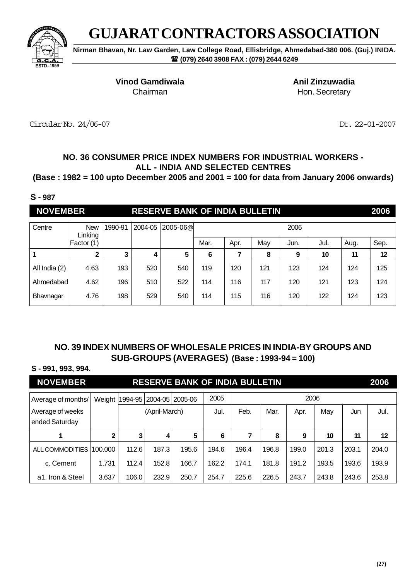

**Nirman Bhavan, Nr. Law Garden, Law College Road, Ellisbridge, Ahmedabad-380 006. (Guj.) INIDA. (079) 2640 3908 FAX : (079) 2644 6249**

**Vinod Gamdiwala Anil Zinzuwadia**

Chairman **Hon.** Secretary

Circular No. 24/06-07 Dt. 22-01-2007

## **NO. 36 CONSUMER PRICE INDEX NUMBERS FOR INDUSTRIAL WORKERS - ALL - INDIA AND SELECTED CENTRES**

**(Base : 1982 = 100 upto December 2005 and 2001 = 100 for data from January 2006 onwards)**

#### **S - 987**

| <b>NOVEMBER</b> |            |                    |  | <b>RESERVE BANK OF INDIA BULLETIN</b> |      |      |     |      |      |      |      |
|-----------------|------------|--------------------|--|---------------------------------------|------|------|-----|------|------|------|------|
| Centre          | New        | 1990-91<br>Linkina |  | 2004-05 2005-06@                      |      |      |     | 2006 |      |      |      |
|                 | Factor (1) |                    |  |                                       | Mar. | Apr. | May | Jun. | Jul. | Aug. | Sep. |

|               | າ    | ≏<br>w |     | 5   | O   |     | 8   | 9   | 10  | 11  | 12  |
|---------------|------|--------|-----|-----|-----|-----|-----|-----|-----|-----|-----|
| All India (2) | 4.63 | 193    | 520 | 540 | 119 | 120 | 121 | 123 | 124 | 124 | 125 |
| Ahmedabad     | 4.62 | 196    | 510 | 522 | 114 | 116 | 117 | 120 | 121 | 123 | 124 |
| Bhavnagar     | 4.76 | 198    | 529 | 540 | 114 | 115 | 116 | 120 | 122 | 124 | 123 |

## **NO. 39 INDEX NUMBERS OF WHOLESALE PRICES IN INDIA-BY GROUPS AND SUB-GROUPS (AVERAGES) (Base : 1993-94 = 100)**

### **S - 991, 993, 994.**

| <b>NOVEMBER</b>                    |              |                                         |               | <b>RESERVE BANK OF INDIA BULLETIN</b> |       |       |       |       |       |       | 2006  |
|------------------------------------|--------------|-----------------------------------------|---------------|---------------------------------------|-------|-------|-------|-------|-------|-------|-------|
| Average of months/                 | Weight       | 2005<br>2006<br>1994-95 2004-05 2005-06 |               |                                       |       |       |       |       |       |       |       |
| Average of weeks<br>ended Saturday |              |                                         | (April-March) |                                       | Jul.  | Feb.  | Mar.  | Apr.  | May   | Jun   | Jul.  |
| 1                                  | $\mathbf{2}$ | 3                                       | 4             | 5                                     | 6     | 7     | 8     | 9     | 10    | 11    | 12    |
| ALL COMMODITIES                    | 100.000      | 112.6                                   | 187.3         | 195.6                                 | 194.6 | 196.4 | 196.8 | 199.0 | 201.3 | 203.1 | 204.0 |
| c. Cement                          | 1.731        | 112.4                                   | 152.8         | 166.7                                 | 162.2 | 174.1 | 181.8 | 191.2 | 193.5 | 193.6 | 193.9 |
| a1. Iron & Steel                   | 3.637        | 106.0                                   | 232.9         | 250.7                                 | 254.7 | 225.6 | 226.5 | 243.7 | 243.8 | 243.6 | 253.8 |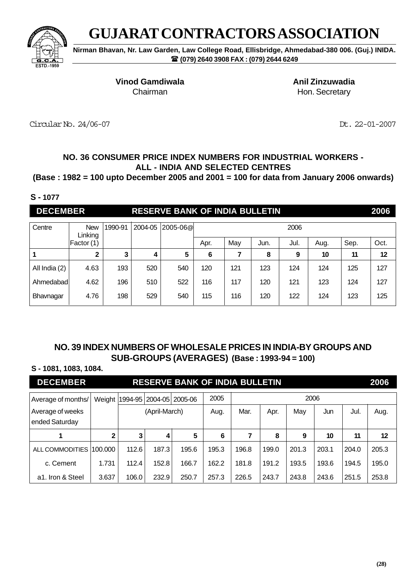

**Nirman Bhavan, Nr. Law Garden, Law College Road, Ellisbridge, Ahmedabad-380 006. (Guj.) INIDA. (079) 2640 3908 FAX : (079) 2644 6249**

**Vinod Gamdiwala Anil Zinzuwadia**

Chairman **Hon.** Secretary

Circular No. 24/06-07 Dt. 22-01-2007

## **NO. 36 CONSUMER PRICE INDEX NUMBERS FOR INDUSTRIAL WORKERS - ALL - INDIA AND SELECTED CENTRES**

**(Base : 1982 = 100 upto December 2005 and 2001 = 100 for data from January 2006 onwards)**

#### **S - 1077**

**DECEMBER RESERVE BANK OF INDIA BULLETIN 2006**

| Centre        | <b>New</b><br>Linking | 1990-91 | 2004-05 | $ 2005 - 06@ $ | 2006 |     |      |      |      |      |      |  |  |  |  |
|---------------|-----------------------|---------|---------|----------------|------|-----|------|------|------|------|------|--|--|--|--|
|               | Factor(1)             |         |         |                | Apr. | May | Jun. | Jul. | Aug. | Sep. | Oct. |  |  |  |  |
|               | $\mathbf 2$           | ≏       | 4       | 5              | 6    |     | 8    | 9    | 10   | 11   | 12   |  |  |  |  |
| All India (2) | 4.63                  | 193     | 520     | 540            | 120  | 121 | 123  | 124  | 124  | 125  | 127  |  |  |  |  |
| Ahmedabad     | 4.62                  | 196     | 510     | 522            | 116  | 117 | 120  | 121  | 123  | 124  | 127  |  |  |  |  |
| Bhavnagar     | 4.76                  | 198     | 529     | 540            | 115  | 116 | 120  | 122  | 124  | 123  | 125  |  |  |  |  |

## **NO. 39 INDEX NUMBERS OF WHOLESALE PRICES IN INDIA-BY GROUPS AND SUB-GROUPS (AVERAGES) (Base : 1993-94 = 100)**

### **S - 1081, 1083, 1084.**

| <b>DECEMBER</b>                    |              |                                         |               | <b>RESERVE BANK OF INDIA BULLETIN</b> |       |       |       |       |       |       | 2006  |
|------------------------------------|--------------|-----------------------------------------|---------------|---------------------------------------|-------|-------|-------|-------|-------|-------|-------|
| Average of months/                 | Weight       | 2005<br>2006<br>1994-95 2004-05 2005-06 |               |                                       |       |       |       |       |       |       |       |
| Average of weeks<br>ended Saturday |              |                                         | (April-March) |                                       | Aug.  | Mar.  | Apr.  | May   | Jun   | Jul.  | Aug.  |
| 1                                  | $\mathbf{2}$ | 3                                       | 4             | 5                                     | 6     | 7     | 8     | 9     | 10    | 11    | 12    |
| ALL COMMODITIES                    | 100.000      | 112.6                                   | 187.3         | 195.6                                 | 195.3 | 196.8 | 199.0 | 201.3 | 203.1 | 204.0 | 205.3 |
| c. Cement                          | 1.731        | 112.4                                   | 152.8         | 166.7                                 | 162.2 | 181.8 | 191.2 | 193.5 | 193.6 | 194.5 | 195.0 |
| a1. Iron & Steel                   | 3.637        | 106.0                                   | 232.9         | 250.7                                 | 257.3 | 226.5 | 243.7 | 243.8 | 243.6 | 251.5 | 253.8 |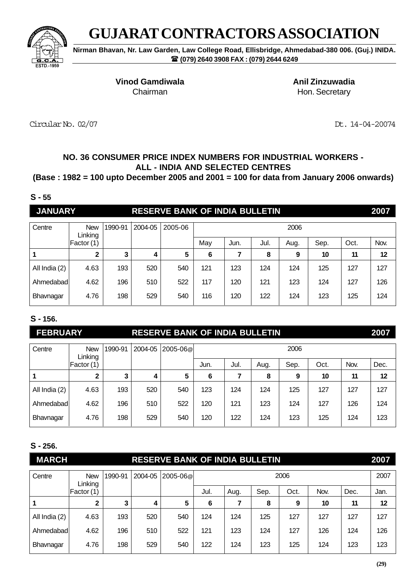

**Nirman Bhavan, Nr. Law Garden, Law College Road, Ellisbridge, Ahmedabad-380 006. (Guj.) INIDA. (079) 2640 3908 FAX : (079) 2644 6249**

**Vinod Gamdiwala Anil Zinzuwadia**

Chairman **Hon.** Secretary

Circular No. 02/07 Dt. 14-04-20074

# **NO. 36 CONSUMER PRICE INDEX NUMBERS FOR INDUSTRIAL WORKERS - ALL - INDIA AND SELECTED CENTRES**

## **(Base : 1982 = 100 upto December 2005 and 2001 = 100 for data from January 2006 onwards)**

#### **S - 55**

**JANUARY RESERVE BANK OF INDIA BULLETIN 2007**

| Centre        | <b>New</b><br>Linking | 1990-91 | 2004-05 | 2005-06 |     |      |      | 2006 |      |      |      |
|---------------|-----------------------|---------|---------|---------|-----|------|------|------|------|------|------|
|               | Factor (1)            |         |         |         | May | Jun. | Jul. | Aug. | Sep. | Oct. | Nov. |
|               | 2                     | 3       | 4       | 5       | 6   |      | 8    | 9    | 10   | 11   | 12   |
| All India (2) | 4.63                  | 193     | 520     | 540     | 121 | 123  | 124  | 124  | 125  | 127  | 127  |
| Ahmedabad     | 4.62                  | 196     | 510     | 522     | 117 | 120  | 121  | 123  | 124  | 127  | 126  |
| Bhavnagar     | 4.76                  | 198     | 529     | 540     | 116 | 120  | 122  | 124  | 123  | 125  | 124  |

## **S - 156.**

# **FEBRUARY RESERVE BANK OF INDIA BULLETIN 2007**

| Centre        | <b>New</b><br>Linking | 1990-91 | 2004-05 | 2005-06@ |      |      |      | 2006 |      |      |      |
|---------------|-----------------------|---------|---------|----------|------|------|------|------|------|------|------|
|               | Factor (1)            |         |         |          | Jun. | Jul. | Aug. | Sep. | Oct. | Nov. | Dec. |
|               | 2                     | 3       | 4       | 5        | 6    |      | 8    | 9    | 10   | 11   | 12   |
| All India (2) | 4.63                  | 193     | 520     | 540      | 123  | 124  | 124  | 125  | 127  | 127  | 127  |
| Ahmedabad     | 4.62                  | 196     | 510     | 522      | 120  | 121  | 123  | 124  | 127  | 126  | 124  |
| Bhavnagar     | 4.76                  | 198     | 529     | 540      | 120  | 122  | 124  | 123  | 125  | 124  | 123  |

## **S - 256.**

| <b>MARCH</b>  |                       |         |         | <b>RESERVE BANK OF INDIA BULLETIN</b> |      |      |      |      |      |      | 2007 |
|---------------|-----------------------|---------|---------|---------------------------------------|------|------|------|------|------|------|------|
| Centre        | <b>New</b><br>Linking | 1990-91 | 2004-05 | 2005-06@                              |      |      |      | 2006 |      |      | 2007 |
|               | Factor (1)            |         |         |                                       | Jul. | Aug. | Sep. | Oct. | Nov. | Dec. | Jan. |
|               | $\mathbf 2$           | 3       | 4       | 5                                     | 6    |      | 8    | 9    | 10   | 11   | 12   |
| All India (2) | 4.63                  | 193     | 520     | 540                                   | 124  | 124  | 125  | 127  | 127  | 127  | 127  |
| Ahmedabad     | 4.62                  | 196     | 510     | 522                                   | 121  | 123  | 124  | 127  | 126  | 124  | 126  |
| Bhavnagar     | 4.76                  | 198     | 529     | 540                                   | 122  | 124  | 123  | 125  | 124  | 123  | 123  |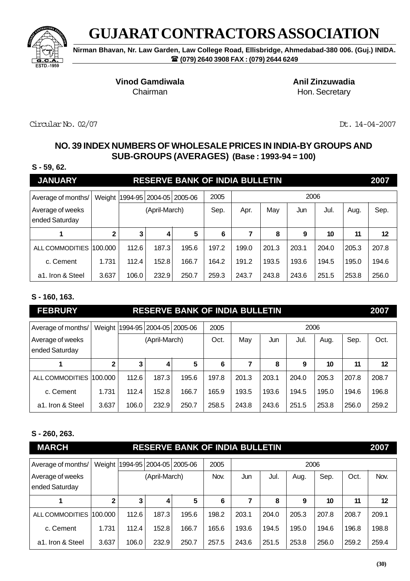

**Nirman Bhavan, Nr. Law Garden, Law College Road, Ellisbridge, Ahmedabad-380 006. (Guj.) INIDA. (079) 2640 3908 FAX : (079) 2644 6249**

**Vinod Gamdiwala Anil Zinzuwadia** 

Chairman **Hon.** Secretary

Circular No. 02/07 Dt. 14-04-2007

# **NO. 39 INDEX NUMBERS OF WHOLESALE PRICES IN INDIA-BY GROUPS AND SUB-GROUPS (AVERAGES) (Base : 1993-94 = 100)**

### **S - 59, 62.**

| <b>JANUARY</b>                     |              |       |                                      | <b>RESERVE BANK OF INDIA BULLETIN</b> |       |       |       |       |       |       | 2007  |
|------------------------------------|--------------|-------|--------------------------------------|---------------------------------------|-------|-------|-------|-------|-------|-------|-------|
| Average of months/                 |              |       | Weight   1994-95   2004-05   2005-06 |                                       | 2005  |       |       | 2006  |       |       |       |
| Average of weeks<br>ended Saturday |              |       | (April-March)                        |                                       | Sep.  | Apr.  | May   | Jun   | Jul.  | Aug.  | Sep.  |
|                                    | $\mathbf{2}$ | 3     | 4                                    | 5                                     | 6     | 7     | 8     | 9     | 10    | 11    | 12    |
| ALL COMMODITIES                    | 100.000      | 112.6 | 187.3                                | 195.6                                 | 197.2 | 199.0 | 201.3 | 203.1 | 204.0 | 205.3 | 207.8 |
| c. Cement                          | 1.731        | 112.4 | 152.8                                | 166.7                                 | 164.2 | 191.2 | 193.5 | 193.6 | 194.5 | 195.0 | 194.6 |
| a1. Iron & Steel                   | 3.637        | 106.0 | 232.9                                | 250.7                                 | 259.3 | 243.7 | 243.8 | 243.6 | 251.5 | 253.8 | 256.0 |

## **S - 160, 163.**

| <b>FEBRURY</b>                     |              |                                      |               | <b>RESERVE BANK OF INDIA BULLETIN</b> |       |       |       |       |       |       | 2007  |
|------------------------------------|--------------|--------------------------------------|---------------|---------------------------------------|-------|-------|-------|-------|-------|-------|-------|
| Average of months/                 |              | Weight   1994-95   2004-05   2005-06 |               |                                       | 2005  |       |       | 2006  |       |       |       |
| Average of weeks<br>ended Saturday |              |                                      | (April-March) |                                       | Oct.  | May   | Jun   | Jul.  | Aug.  | Sep.  | Oct.  |
|                                    | $\mathbf{2}$ | 3                                    | 4             | 5                                     | 6     |       | 8     | 9     | 10    | 11    | 12    |
| ALL COMMODITIES                    | 100.000      | 112.6                                | 187.3         | 195.6                                 | 197.8 | 201.3 | 203.1 | 204.0 | 205.3 | 207.8 | 208.7 |
| c. Cement                          | 1.731        | 112.4                                | 152.8         | 166.7                                 | 165.9 | 193.5 | 193.6 | 194.5 | 195.0 | 194.6 | 196.8 |
| a1. Iron & Steel                   | 3.637        | 106.0                                | 232.9         | 250.7                                 | 258.5 | 243.8 | 243.6 | 251.5 | 253.8 | 256.0 | 259.2 |

## **S - 260, 263.**

| <b>MARCH</b>                       |              |       |               | <b>RESERVE BANK OF INDIA BULLETIN</b> |       |       |       |       |       |       | 2007  |
|------------------------------------|--------------|-------|---------------|---------------------------------------|-------|-------|-------|-------|-------|-------|-------|
| Average of months/                 |              |       |               | Weight   1994-95   2004-05   2005-06  | 2005  |       |       | 2006  |       |       |       |
| Average of weeks<br>ended Saturday |              |       | (April-March) |                                       |       | Jun   | Jul.  | Aug.  | Sep.  | Oct.  | Nov.  |
|                                    | $\mathbf{2}$ | 3     | 4             | 5                                     | 6     | 7     | 8     | 9     | 10    | 11    | 12    |
| ALL COMMODITIES                    | 100.000      | 112.6 | 187.3         | 195.6                                 | 198.2 | 203.1 | 204.0 | 205.3 | 207.8 | 208.7 | 209.1 |
| c. Cement                          | 1.731        | 112.4 | 152.8         | 166.7                                 | 165.6 | 193.6 | 194.5 | 195.0 | 194.6 | 196.8 | 198.8 |
| a1. Iron & Steel                   | 3.637        | 106.0 | 232.9         | 250.7                                 | 257.5 | 243.6 | 251.5 | 253.8 | 256.0 | 259.2 | 259.4 |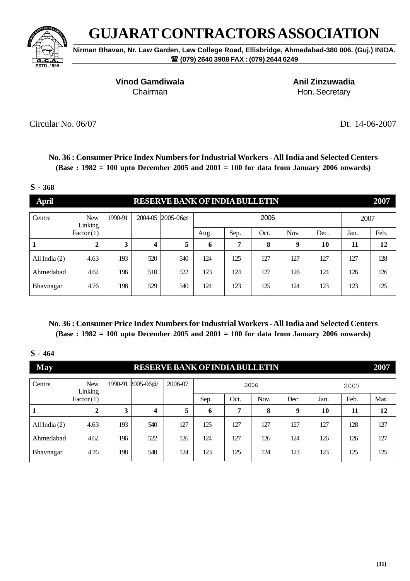

**Nirman Bhavan, Nr. Law Garden, Law College Road, Ellisbridge, Ahmedabad-380 006. (Guj.) INIDA. (079) 2640 3908 FAX : (079) 2644 6249**

**Vinod Gamdiwala Anil Zinzuwadia** 

Chairman **Hon.** Secretary

Circular No. 06/07 Dt. 14-06-2007

**No. 36 : Consumer Price Index Numbers for Industrial Workers - All India and Selected Centers (Base : 1982 = 100 upto December 2005 and 2001 = 100 for data from January 2006 onwards)**

#### **S - 368**

| <b>April</b>    |                       |         |         | <b>RESERVE BANK OF INDIA BULLETIN</b> |      |      |      |      |      |      | 2007 |
|-----------------|-----------------------|---------|---------|---------------------------------------|------|------|------|------|------|------|------|
| Centre          | <b>New</b><br>Linking | 1990-91 | 2004-05 | $2005 - 06@$                          |      |      | 2006 |      |      | 2007 |      |
|                 | Factor(1)             |         |         |                                       | Aug. | Sep. | Oct. | Nov. | Dec. | Jan. | Feb. |
|                 | $\mathbf{2}$          | 3       | 4       | 5                                     | 6    | 7    | 8    | 9    | 10   | 11   | 12   |
| All India $(2)$ | 4.63                  | 193     | 520     | 540                                   | 124  | 125  | 127  | 127  | 127  | 127  | 128  |
| Ahmedabad       | 4.62                  | 196     | 510     | 522                                   | 123  | 124  | 127  | 126  | 124  | 126  | 126  |
| Bhavnagar       | 4.76                  | 198     | 529     | 540                                   | 124  | 123  | 125  | 124  | 123  | 123  | 125  |

**No. 36 : Consumer Price Index Numbers for Industrial Workers - All India and Selected Centers (Base : 1982 = 100 upto December 2005 and 2001 = 100 for data from January 2006 onwards)**

| <b>May</b>      |                       |         | <b>RESERVE BANK OF INDIA BULLETIN</b> |         |      |      |      |      |      |      | 2007 |
|-----------------|-----------------------|---------|---------------------------------------|---------|------|------|------|------|------|------|------|
| Centre          | <b>New</b><br>Linking | 1990-91 | $2005 - 06@$                          | 2006-07 |      |      | 2006 |      |      | 2007 |      |
|                 | Factor(1)             |         |                                       |         | Sep. | Oct. | Nov. | Dec. | Jan. | Feb. | Mar. |
|                 | $\mathbf{2}$          | 3       | $\boldsymbol{4}$                      | 5       | 6    | 7    | 8    | 9    | 10   | 11   | 12   |
| All India $(2)$ | 4.63                  | 193     | 540                                   | 127     | 125  | 127  | 127  | 127  | 127  | 128  | 127  |
| Ahmedabad       | 4.62                  | 196     | 522                                   | 126     | 124  | 127  | 126  | 124  | 126  | 126  | 127  |
| Bhavnagar       | 4.76                  | 198     | 540                                   | 124     | 123  | 125  | 124  | 123  | 123  | 125  | 125  |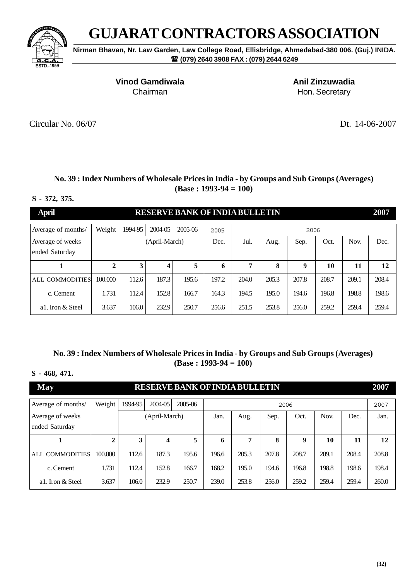

**Nirman Bhavan, Nr. Law Garden, Law College Road, Ellisbridge, Ahmedabad-380 006. (Guj.) INIDA. (079) 2640 3908 FAX : (079) 2644 6249**

**Vinod Gamdiwala Anil Zinzuwadia**

Chairman **Hon.** Secretary

Circular No. 06/07 Dt. 14-06-2007

### **No. 39 : Index Numbers of Wholesale Prices in India - by Groups and Sub Groups (Averages) (Base : 1993-94 = 100)**

**A RESERVE BANK OF INDIA BULLETIN 2007** 

#### **S - 372, 375.**

| арш                                |         |         |               | <u>NESENYE BANK OF INDIA BULLETIN</u> |       |       |       |       |       |       | 400 L |
|------------------------------------|---------|---------|---------------|---------------------------------------|-------|-------|-------|-------|-------|-------|-------|
| Average of months/                 | Weight  | 1994-95 | 2004-05       | 2005-06                               | 2005  |       |       | 2006  |       |       |       |
| Average of weeks<br>ended Saturday |         |         | (April-March) |                                       | Dec.  | Jul.  | Aug.  | Sep.  | Oct.  | Nov.  | Dec.  |
|                                    |         |         | 4             |                                       | 6     | 7     | 8     | 9     | 10    | 11    | 12    |
| ALL COMMODITIES                    | 100.000 | 112.6   | 187.3         | 195.6                                 | 197.2 | 204.0 | 205.3 | 207.8 | 208.7 | 209.1 | 208.4 |
| c. Cement                          | 1.731   | 112.4   | 152.8         | 166.7                                 | 164.3 | 194.5 | 195.0 | 194.6 | 196.8 | 198.8 | 198.6 |
| al. Iron & Steel                   | 3.637   | 106.0   | 232.9         | 250.7                                 | 256.6 | 251.5 | 253.8 | 256.0 | 259.2 | 259.4 | 259.4 |

### **No. 39 : Index Numbers of Wholesale Prices in India - by Groups and Sub Groups (Averages) (Base : 1993-94 = 100)**

#### **S - 468, 471.**

| <b>May</b>         |              |         |               | <b>RESERVE BANK OF INDIA BULLETIN</b> |                                              |       |       |       |       |       | 2007  |
|--------------------|--------------|---------|---------------|---------------------------------------|----------------------------------------------|-------|-------|-------|-------|-------|-------|
| Average of months/ | Weight       | 1994-95 | 2004-05       | 2005-06                               |                                              |       | 2006  |       |       |       | 2007  |
| Average of weeks   |              |         | (April-March) |                                       | Nov.<br>Sep.<br>Oct.<br>Jan.<br>Dec.<br>Aug. |       |       |       |       |       | Jan.  |
| ended Saturday     |              |         |               |                                       |                                              |       |       |       |       |       |       |
|                    | $\mathbf{2}$ | 3       | 4             | 5                                     | 6                                            | 7     | 8     | 9     | 10    | 11    | 12    |
| ALL COMMODITIES    | 100,000      | 112.6   | 187.3         | 195.6                                 | 196.6                                        | 205.3 | 207.8 | 208.7 | 209.1 | 208.4 | 208.8 |
| c. Cement          | 1.731        | 112.4   | 152.8         | 166.7                                 | 168.2                                        | 195.0 | 194.6 | 196.8 | 198.8 | 198.6 | 198.4 |
| a1. Iron & Steel   | 3.637        | 106.0   | 232.9         | 250.7                                 | 239.0                                        | 253.8 | 256.0 | 259.2 | 259.4 | 259.4 | 260.0 |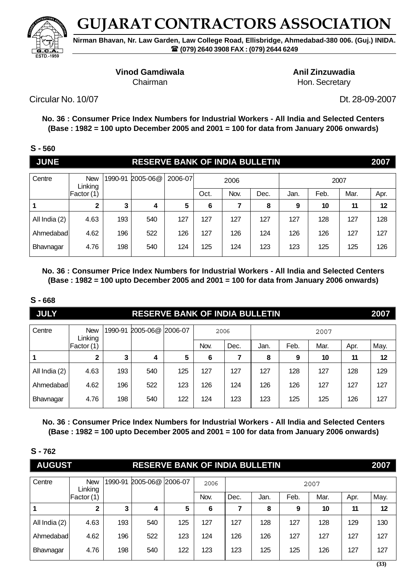

**Nirman Bhavan, Nr. Law Garden, Law College Road, Ellisbridge, Ahmedabad-380 006. (Guj.) INIDA. (079) 2640 3908 FAX : (079) 2644 6249**

**Vinod Gamdiwala** Anil Zinzuwadia

Chairman **Hon.** Secretary

Circular No. 10/07 Dt. 28-09-2007

**No. 36 : Consumer Price Index Numbers for Industrial Workers - All India and Selected Centers (Base : 1982 = 100 upto December 2005 and 2001 = 100 for data from January 2006 onwards)**

| ۰, | ֚֚֡֡<br>v |
|----|-----------|
|    |           |

| <b>JUNE</b>   |                       |         | <b>RESERVE BANK OF INDIA BULLETIN</b> |         |      |      |      |      |      |      | 2007 |
|---------------|-----------------------|---------|---------------------------------------|---------|------|------|------|------|------|------|------|
| Centre        | <b>New</b><br>Linking | 1990-91 | 2005-06@                              | 2006-07 |      | 2006 |      |      | 2007 |      |      |
|               | Factor (1)            |         |                                       |         | Oct. | Nov. | Dec. | Jan. | Feb. | Mar. | Apr. |
| 1             | $\mathbf 2$           | 3       | 4                                     | 5       | 6    | 7    | 8    | 9    | 10   | 11   | 12   |
| All India (2) | 4.63                  | 193     | 540                                   | 127     | 127  | 127  | 127  | 127  | 128  | 127  | 128  |
| Ahmedabadl    | 4.62                  | 196     | 522                                   | 126     | 127  | 126  | 124  | 126  | 126  | 127  | 127  |
| Bhavnagar     | 4.76                  | 198     | 540                                   | 124     | 125  | 124  | 123  | 123  | 125  | 125  | 126  |

**No. 36 : Consumer Price Index Numbers for Industrial Workers - All India and Selected Centers (Base : 1982 = 100 upto December 2005 and 2001 = 100 for data from January 2006 onwards)**

## **S - 668**

| <b>JULY</b>   |                       |         | <b>RESERVE BANK OF INDIA BULLETIN</b> |     |      |      |      |      |      |      | 2007 |
|---------------|-----------------------|---------|---------------------------------------|-----|------|------|------|------|------|------|------|
| Centre        | <b>New</b><br>Linking | 1990-91 | 2005-06@ 2006-07                      |     | 2006 |      |      |      | 2007 |      |      |
|               | Factor (1)            |         |                                       |     | Nov. | Dec. | Jan. | Feb. | Mar. | Apr. | May. |
|               | $\mathbf{2}$          | 3       | 4                                     | 5   | 6    |      | 8    | 9    | 10   | 11   | 12   |
| All India (2) | 4.63                  | 193     | 540                                   | 125 | 127  | 127  | 127  | 128  | 127  | 128  | 129  |
| Ahmedabadl    | 4.62                  | 196     | 522                                   | 123 | 126  | 124  | 126  | 126  | 127  | 127  | 127  |
| Bhavnagar     | 4.76                  | 198     | 540                                   | 122 | 124  | 123  | 123  | 125  | 125  | 126  | 127  |

**No. 36 : Consumer Price Index Numbers for Industrial Workers - All India and Selected Centers (Base : 1982 = 100 upto December 2005 and 2001 = 100 for data from January 2006 onwards)**

**S - 762**

| <b>AUGUST</b> |                       |         | <b>RESERVE BANK OF INDIA BULLETIN</b> |         |      |      |      |      |      |      | 2007 |
|---------------|-----------------------|---------|---------------------------------------|---------|------|------|------|------|------|------|------|
| Centre        | <b>New</b><br>Linking | 1990-91 | 2005-06@                              | 2006-07 | 2006 |      |      |      | 2007 |      |      |
|               | Factor (1)            |         |                                       |         | Nov. | Dec. | Jan. | Feb. | Mar. | Apr. | May. |
|               | $\mathbf{2}$          | 3       | 4                                     | 5       | 6    |      | 8    | 9    | 10   | 11   | 12   |
| All India (2) | 4.63                  | 193     | 540                                   | 125     | 127  | 127  | 128  | 127  | 128  | 129  | 130  |
| Ahmedabad     | 4.62                  | 196     | 522                                   | 123     | 124  | 126  | 126  | 127  | 127  | 127  | 127  |
| Bhavnagar     | 4.76                  | 198     | 540                                   | 122     | 123  | 123  | 125  | 125  | 126  | 127  | 127  |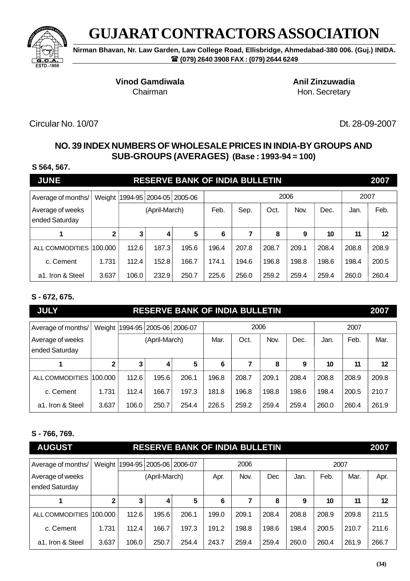

**Nirman Bhavan, Nr. Law Garden, Law College Road, Ellisbridge, Ahmedabad-380 006. (Guj.) INIDA. (079) 2640 3908 FAX : (079) 2644 6249**

**Vinod Gamdiwala Anil Zinzuwadia** 

Chairman **Hon.** Secretary

Circular No. 10/07 Dt. 28-09-2007

# **NO. 39 INDEX NUMBERS OF WHOLESALE PRICES IN INDIA-BY GROUPS AND SUB-GROUPS (AVERAGES) (Base : 1993-94 = 100)**

#### **S 564, 567.**

| <b>JUNE</b>                        |              |       |                                      | <b>RESERVE BANK OF INDIA BULLETIN</b> |       |       |       |       |       |       | 2007              |
|------------------------------------|--------------|-------|--------------------------------------|---------------------------------------|-------|-------|-------|-------|-------|-------|-------------------|
| Average of months/                 |              |       | Weight   1994-95   2004-05   2005-06 |                                       |       |       | 2006  |       |       | 2007  |                   |
| Average of weeks<br>ended Saturday |              |       | (April-March)                        |                                       | Feb.  | Sep.  | Oct.  | Nov.  | Dec.  | Jan.  | Feb.              |
|                                    | $\mathbf{2}$ | 3     | 4                                    | 5                                     | 6     | 7     | 8     | 9     | 10    | 11    | $12 \overline{ }$ |
| ALL COMMODITIES                    | 100.000      | 112.6 | 187.3                                | 195.6                                 | 196.4 | 207.8 | 208.7 | 209.1 | 208.4 | 208.8 | 208.9             |
| c. Cement                          | 1.731        | 112.4 | 152.8                                | 166.7                                 | 174.1 | 194.6 | 196.8 | 198.8 | 198.6 | 198.4 | 200.5             |
| a <sub>1</sub> . Iron & Steel      | 3.637        | 106.0 | 232.9                                | 250.7                                 | 225.6 | 256.0 | 259.2 | 259.4 | 259.4 | 260.0 | 260.4             |

## **S - 672, 675.**

| <b>JULY</b>                        |              | <b>RESERVE BANK OF INDIA BULLETIN</b><br>2007 |                             |       |       |       |       |       |       |       |       |  |  |
|------------------------------------|--------------|-----------------------------------------------|-----------------------------|-------|-------|-------|-------|-------|-------|-------|-------|--|--|
| Average of months/                 | Weight       |                                               | 1994-95   2005-06   2006-07 |       |       | 2006  |       |       |       | 2007  |       |  |  |
| Average of weeks<br>ended Saturday |              |                                               | (April-March)               |       | Mar.  | Oct.  | Nov.  | Dec.  | Jan.  | Feb.  | Mar.  |  |  |
|                                    | $\mathbf{2}$ | 3                                             | 4                           | 5     | 6     |       | 8     | 9     | 10    | 11    | 12    |  |  |
| ALL COMMODITIES                    | 100.000      | 112.6                                         | 195.6                       | 206.1 | 196.8 | 208.7 | 209.1 | 208.4 | 208.8 | 208.9 | 209.8 |  |  |
| c. Cement                          | 1.731        | 112.4                                         | 166.7                       | 197.3 | 181.8 | 196.8 | 198.8 | 198.6 | 198.4 | 200.5 | 210.7 |  |  |
| a1. Iron & Steel                   | 3.637        | 106.0                                         | 250.7                       | 254.4 | 226.5 | 259.2 | 259.4 | 259.4 | 260.0 | 260.4 | 261.9 |  |  |

## **S - 766, 769.**

| <b>AUGUST</b>                      |         | <b>RESERVE BANK OF INDIA BULLETIN</b> |               |       |       |       |       |       |       |       |       |
|------------------------------------|---------|---------------------------------------|---------------|-------|-------|-------|-------|-------|-------|-------|-------|
| Average of months/                 |         | Weight  1994-95   2005-06   2006-07   |               |       |       | 2006  |       |       | 2007  |       |       |
| Average of weeks<br>ended Saturday |         |                                       | (April-March) |       |       | Nov.  | Dec   | Jan.  | Feb.  | Mar.  | Apr.  |
|                                    | 2       | 3                                     | 4             | 5     | 6     | 7     | 8     | 9     | 10    | 11    | 12    |
| ALL COMMODITIES                    | 100.000 | 112.6                                 | 195.6         | 206.1 | 199.0 | 209.1 | 208.4 | 208.8 | 208.9 | 209.8 | 211.5 |
| c. Cement                          | 1.731   | 112.4                                 | 166.7         | 197.3 | 191.2 | 198.8 | 198.6 | 198.4 | 200.5 | 210.7 | 211.6 |
| a <sub>1</sub> . Iron & Steel      | 3.637   | 106.0                                 | 250.7         | 254.4 | 243.7 | 259.4 | 259.4 | 260.0 | 260.4 | 261.9 | 266.7 |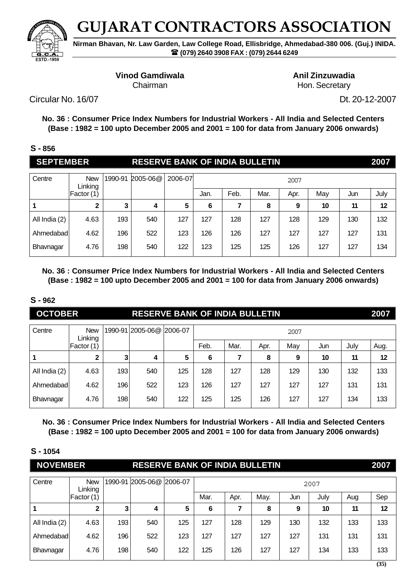

**Nirman Bhavan, Nr. Law Garden, Law College Road, Ellisbridge, Ahmedabad-380 006. (Guj.) INIDA. (079) 2640 3908 FAX : (079) 2644 6249**

### **Vinod Gamdiwala Anil Zinzuwadia**

Chairman **Hon.** Secretary

Circular No. 16/07 Dt. 20-12-2007

**No. 36 : Consumer Price Index Numbers for Industrial Workers - All India and Selected Centers (Base : 1982 = 100 upto December 2005 and 2001 = 100 for data from January 2006 onwards)**

### **S - 856**

| <b>SEPTEMBER</b> |                       |         | <b>RESERVE BANK OF INDIA BULLETIN</b> |         |      |      |      |      |     |     | 2007 |
|------------------|-----------------------|---------|---------------------------------------|---------|------|------|------|------|-----|-----|------|
| Centre           | <b>New</b><br>Linking | 1990-91 | 2005-06@                              | 2006-07 |      |      |      | 2007 |     |     |      |
|                  | Factor (1)            |         |                                       |         | Jan. | Feb. | Mar. | Apr. | May | Jun | July |
| 1                | າ                     | 3       | 4                                     | 5       | 6    | 7    | 8    | 9    | 10  | 11  | 12   |
| All India (2)    | 4.63                  | 193     | 540                                   | 127     | 127  | 128  | 127  | 128  | 129 | 130 | 132  |
| Ahmedabad        | 4.62                  | 196     | 522                                   | 123     | 126  | 126  | 127  | 127  | 127 | 127 | 131  |
| Bhavnagar        | 4.76                  | 198     | 540                                   | 122     | 123  | 125  | 125  | 126  | 127 | 127 | 134  |

**No. 36 : Consumer Price Index Numbers for Industrial Workers - All India and Selected Centers (Base : 1982 = 100 upto December 2005 and 2001 = 100 for data from January 2006 onwards)**

### **S - 962**

| <b>OCTOBER</b> |                       |         | <b>RESERVE BANK OF INDIA BULLETIN</b> |     |      |      |      |      |     |      | 2007 |
|----------------|-----------------------|---------|---------------------------------------|-----|------|------|------|------|-----|------|------|
| Centre         | <b>New</b><br>Linking | 1990-91 | 2005-06@ 2006-07                      |     |      |      |      | 2007 |     |      |      |
|                | Factor (1)            |         |                                       |     | Feb. | Mar. | Apr. | May  | Jun | July | Aug. |
|                | $\mathbf{2}$          | 3       | 4                                     | 5   | 6    |      | 8    | 9    | 10  | 11   | 12   |
| All India (2)  | 4.63                  | 193     | 540                                   | 125 | 128  | 127  | 128  | 129  | 130 | 132  | 133  |
| Ahmedabad      | 4.62                  | 196     | 522                                   | 123 | 126  | 127  | 127  | 127  | 127 | 131  | 131  |
| Bhavnagar      | 4.76                  | 198     | 540                                   | 122 | 125  | 125  | 126  | 127  | 127 | 134  | 133  |

**No. 36 : Consumer Price Index Numbers for Industrial Workers - All India and Selected Centers (Base : 1982 = 100 upto December 2005 and 2001 = 100 for data from January 2006 onwards)**

| <b>NOVEMBER</b> |                       |         | <b>RESERVE BANK OF INDIA BULLETIN</b> |     |      |      |      |     |      |     | 2007 |
|-----------------|-----------------------|---------|---------------------------------------|-----|------|------|------|-----|------|-----|------|
| Centre          | <b>New</b><br>Linking | 1990-91 | 2005-06@ 2006-07                      |     |      |      |      |     | 2007 |     |      |
|                 | Factor (1)            |         |                                       |     | Mar. | Apr. | May. | Jun | July | Aug | Sep  |
|                 |                       | 3       | 4                                     | 5   | 6    |      | 8    | 9   | 10   | 11  | 12   |
| All India (2)   | 4.63                  | 193     | 540                                   | 125 | 127  | 128  | 129  | 130 | 132  | 133 | 133  |
| Ahmedabad       | 4.62                  | 196     | 522                                   | 123 | 127  | 127  | 127  | 127 | 131  | 131 | 131  |
| Bhavnagar       | 4.76                  | 198     | 540                                   | 122 | 125  | 126  | 127  | 127 | 134  | 133 | 133  |
|                 |                       |         |                                       |     |      |      |      |     |      |     | (35) |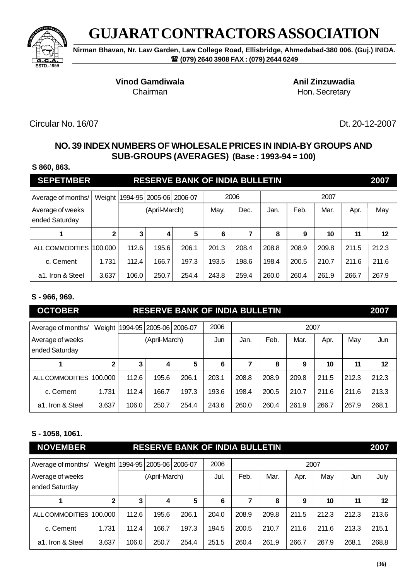

**Nirman Bhavan, Nr. Law Garden, Law College Road, Ellisbridge, Ahmedabad-380 006. (Guj.) INIDA. (079) 2640 3908 FAX : (079) 2644 6249**

**Vinod Gamdiwala Anil Zinzuwadia** 

Chairman **Hon.** Secretary

Circular No. 16/07 Dt. 20-12-2007

# **NO. 39 INDEX NUMBERS OF WHOLESALE PRICES IN INDIA-BY GROUPS AND SUB-GROUPS (AVERAGES) (Base : 1993-94 = 100)**

#### **S 860, 863.**

| <b>SEPETMBER</b>                   |              | <b>RESERVE BANK OF INDIA BULLETIN</b> |                             |       |       |       |       |                      |       |       |       |
|------------------------------------|--------------|---------------------------------------|-----------------------------|-------|-------|-------|-------|----------------------|-------|-------|-------|
| Average of months/                 | Weight       |                                       | 1994-95   2005-06   2006-07 |       |       | 2006  |       |                      | 2007  |       |       |
| Average of weeks<br>ended Saturday |              |                                       | (April-March)               |       | May.  | Dec.  | Jan.  | Feb.<br>Mar.<br>Apr. |       |       |       |
|                                    | $\mathbf{2}$ | 3                                     | 4                           | 5     | 6     | 7     | 8     | 9                    | 10    | 11    | 12    |
| ALL COMMODITIES                    | 100.000      | 112.6                                 | 195.6                       | 206.1 | 201.3 | 208.4 | 208.8 | 208.9                | 209.8 | 211.5 | 212.3 |
| c. Cement                          | 1.731        | 112.4                                 | 166.7                       | 197.3 | 193.5 | 198.6 | 198.4 | 200.5                | 210.7 | 211.6 | 211.6 |
| a1. Iron & Steel                   | 3.637        | 106.0                                 | 250.7                       | 254.4 | 243.8 | 259.4 | 260.0 | 260.4                | 261.9 | 266.7 | 267.9 |

## **S - 966, 969.**

| <b>OCTOBER</b>                     |              |                                      |               | <b>RESERVE BANK OF INDIA BULLETIN</b> |                                                 |       |       |       |       |       | 2007  |
|------------------------------------|--------------|--------------------------------------|---------------|---------------------------------------|-------------------------------------------------|-------|-------|-------|-------|-------|-------|
| Average of months/                 |              | Weight   1994-95   2005-06   2006-07 |               |                                       | 2006                                            |       |       | 2007  |       |       |       |
| Average of weeks<br>ended Saturday |              |                                      | (April-March) |                                       | Feb.<br>May<br>Mar.<br>Apr.<br>Jan.<br>Jun<br>7 |       |       |       |       |       | Jun   |
|                                    | $\mathbf{2}$ | 3                                    | 4             | 5                                     | 6                                               |       | 8     | 9     | 10    | 11    | 12    |
| ALL COMMODITIES                    | 100.000      | 112.6                                | 195.6         | 206.1                                 | 203.1                                           | 208.8 | 208.9 | 209.8 | 211.5 | 212.3 | 212.3 |
| c. Cement                          | 1.731        | 112.4                                | 166.7         | 197.3                                 | 193.6                                           | 198.4 | 200.5 | 210.7 | 211.6 | 211.6 | 213.3 |
| a1. Iron & Steel                   | 3.637        | 106.0                                | 250.7         | 254.4                                 | 243.6                                           | 260.0 | 260.4 | 261.9 | 266.7 | 267.9 | 268.1 |

### **S - 1058, 1061.**

| <b>NOVEMBER</b>                    |              | <b>RESERVE BANK OF INDIA BULLETIN</b> |                                      |       |       |       |       |       |       |       |         |
|------------------------------------|--------------|---------------------------------------|--------------------------------------|-------|-------|-------|-------|-------|-------|-------|---------|
| Average of months/                 |              |                                       | Weight   1994-95   2005-06   2006-07 |       | 2006  |       |       | 2007  |       |       |         |
| Average of weeks<br>ended Saturday |              |                                       | (April-March)                        |       | Jul.  | Feb.  | Mar.  | Apr.  | May   | Jun   | July    |
|                                    | $\mathbf{2}$ | 3                                     | 4                                    | 5     | 6     | 7     | 8     | 9     | 10    | 11    | $12 \,$ |
| ALL COMMODITIES                    | 100.000      | 112.6                                 | 195.6                                | 206.1 | 204.0 | 208.9 | 209.8 | 211.5 | 212.3 | 212.3 | 213.6   |
| c. Cement                          | 1.731        | 112.4                                 | 166.7                                | 197.3 | 194.5 | 200.5 | 210.7 | 211.6 | 211.6 | 213.3 | 215.1   |
| a <sub>1</sub> . Iron & Steel      | 3.637        | 106.0                                 | 250.7                                | 254.4 | 251.5 | 260.4 | 261.9 | 266.7 | 267.9 | 268.1 | 268.8   |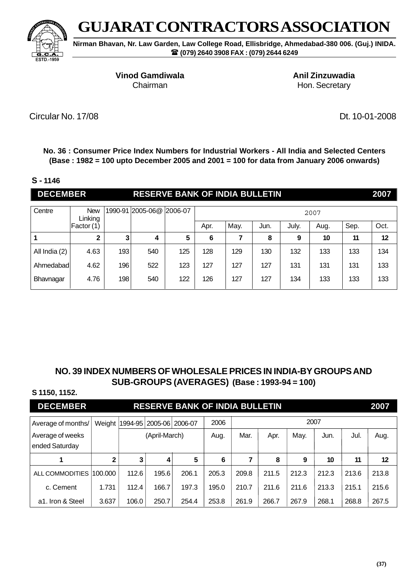

**Nirman Bhavan, Nr. Law Garden, Law College Road, Ellisbridge, Ahmedabad-380 006. (Guj.) INIDA. (079) 2640 3908 FAX : (079) 2644 6249**

**Vinod Gamdiwala Anil Zinzuwadia** 

Chairman **Hon.** Secretary

Circular No. 17/08 Dt. 10-01-2008

**No. 36 : Consumer Price Index Numbers for Industrial Workers - All India and Selected Centers (Base : 1982 = 100 upto December 2005 and 2001 = 100 for data from January 2006 onwards)**

#### **S - 1146**

| <b>DECEMBER</b> |                       |         | <b>RESERVE BANK OF INDIA BULLETIN</b> |         |      |      |      |       |      |      | 2007 |
|-----------------|-----------------------|---------|---------------------------------------|---------|------|------|------|-------|------|------|------|
| Centre          | <b>New</b><br>Linking | 1990-91 | $2005 - 06@$                          | 2006-07 |      |      |      |       | 2007 |      |      |
|                 | Factor (1)            |         |                                       |         | Apr. | May. | Jun. | July. | Aug. | Sep. | Oct. |
|                 | $\mathbf 2$           | 3       | 4                                     | 5       | 6    | 7    | 8    | 9     | 10   | 11   | 12   |
| All India (2)   | 4.63                  | 193     | 540                                   | 125     | 128  | 129  | 130  | 132   | 133  | 133  | 134  |
| Ahmedabad       | 4.62                  | 196     | 522                                   | 123     | 127  | 127  | 127  | 131   | 131  | 131  | 133  |
| Bhavnagar       | 4.76                  | 198     | 540                                   | 122     | 126  | 127  | 127  | 134   | 133  | 133  | 133  |

## **NO. 39 INDEX NUMBERS OF WHOLESALE PRICES IN INDIA-BY GROUPS AND SUB-GROUPS (AVERAGES) (Base : 1993-94 = 100)**

#### **S 1150, 1152.**

# **DECEMBER RESERVE BANK OF INDIA BULLETIN 2007**

| Average of months/                 |       |       | Weight   1994-95   2005-06   2006-07 |       |       | 2007  |       |       |       |       |       |  |
|------------------------------------|-------|-------|--------------------------------------|-------|-------|-------|-------|-------|-------|-------|-------|--|
| Average of weeks<br>ended Saturday |       |       | (April-March)                        |       |       | Mar.  | Apr.  | May.  | Jun.  | Jul.  | Aug.  |  |
|                                    | 2     | 3     | 4                                    | 5     | 6     |       | 8     | 9     | 10    | 11    | 12    |  |
| ALL COMMODITIES 1100.000           |       | 112.6 | 195.6                                | 206.1 | 205.3 | 209.8 | 211.5 | 212.3 | 212.3 | 213.6 | 213.8 |  |
| c. Cement                          | 1.731 | 112.4 | 166.7                                | 197.3 | 195.0 | 210.7 | 211.6 | 211.6 | 213.3 | 215.1 | 215.6 |  |
| a1. Iron & Steel                   | 3.637 | 106.0 | 250.7                                | 254.4 | 253.8 | 261.9 | 266.7 | 267.9 | 268.1 | 268.8 | 267.5 |  |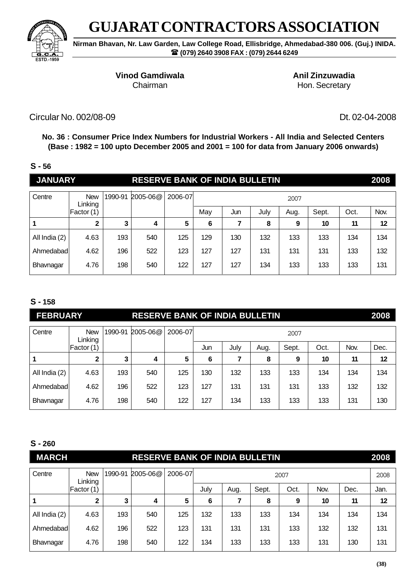

**Nirman Bhavan, Nr. Law Garden, Law College Road, Ellisbridge, Ahmedabad-380 006. (Guj.) INIDA. (079) 2640 3908 FAX : (079) 2644 6249**

## **Vinod Gamdiwala Anil Zinzuwadia**

Chairman **Hon.** Secretary

Circular No. 002/08-09 Dt. 02-04-2008

**No. 36 : Consumer Price Index Numbers for Industrial Workers - All India and Selected Centers (Base : 1982 = 100 upto December 2005 and 2001 = 100 for data from January 2006 onwards)**

## **S - 56**

| <b>JANUARY</b> |                       |         | <b>RESERVE BANK OF INDIA BULLETIN</b> |         |     |     |      |      |       |      | 2008 |
|----------------|-----------------------|---------|---------------------------------------|---------|-----|-----|------|------|-------|------|------|
| Centre         | <b>New</b><br>Linking | 1990-91 | 2005-06@                              | 2006-07 |     |     |      | 2007 |       |      |      |
|                | Factor (1)            |         |                                       |         | May | Jun | July | Aug. | Sept. | Oct. | Nov. |
|                | 2                     | 3       | 4                                     | 5       | 6   | 7   | 8    | 9    | 10    | 11   | 12   |
| All India (2)  | 4.63                  | 193     | 540                                   | 125     | 129 | 130 | 132  | 133  | 133   | 134  | 134  |
| Ahmedabad      | 4.62                  | 196     | 522                                   | 123     | 127 | 127 | 131  | 131  | 131   | 133  | 132  |
| Bhavnagar      | 4.76                  | 198     | 540                                   | 122     | 127 | 127 | 134  | 133  | 133   | 133  | 131  |

## **S - 158**

| <b>FEBRUARY</b> |                                                             |     | <b>RESERVE BANK OF INDIA BULLETIN</b> |     |     |      |      |       |      |      | 2008 |
|-----------------|-------------------------------------------------------------|-----|---------------------------------------|-----|-----|------|------|-------|------|------|------|
| Centre          | 2006-07<br>1990-91<br>$2005 - 06@$<br><b>New</b><br>Linking |     |                                       |     |     |      |      | 2007  |      |      |      |
|                 | Factor (1)                                                  |     |                                       |     | Jun | July | Aug. | Sept. | Oct. | Nov. | Dec. |
|                 | $\mathbf{2}$                                                | 3   | 4                                     | 5   | 6   |      | 8    | 9     | 10   | 11   | 12   |
| All India (2)   | 4.63                                                        | 193 | 540                                   | 125 | 130 | 132  | 133  | 133   | 134  | 134  | 134  |
| Ahmedabad       | 4.62                                                        | 196 | 522                                   | 123 | 127 | 131  | 131  | 131   | 133  | 132  | 132  |
| Bhavnagar       | 4.76                                                        | 198 | 540                                   | 122 | 127 | 134  | 133  | 133   | 133  | 131  | 130  |

| <b>MARCH</b>  |                       |         | <b>RESERVE BANK OF INDIA BULLETIN</b> |         |      |      |       |      |      |      | 2008 |
|---------------|-----------------------|---------|---------------------------------------|---------|------|------|-------|------|------|------|------|
| Centre        | <b>New</b><br>Linking | 1990-91 | 2005-06@                              | 2006-07 |      |      |       | 2007 |      |      | 2008 |
|               | Factor (1)            |         |                                       |         | July | Aug. | Sept. | Oct. | Nov. | Dec. | Jan. |
|               | 2                     | 3       | 4                                     | 5       | 6    |      | 8     | 9    | 10   | 11   | 12   |
| All India (2) | 4.63                  | 193     | 540                                   | 125     | 132  | 133  | 133   | 134  | 134  | 134  | 134  |
| Ahmedabad     | 4.62                  | 196     | 522                                   | 123     | 131  | 131  | 131   | 133  | 132  | 132  | 131  |
| Bhavnagar     | 4.76                  | 198     | 540                                   | 122     | 134  | 133  | 133   | 133  | 131  | 130  | 131  |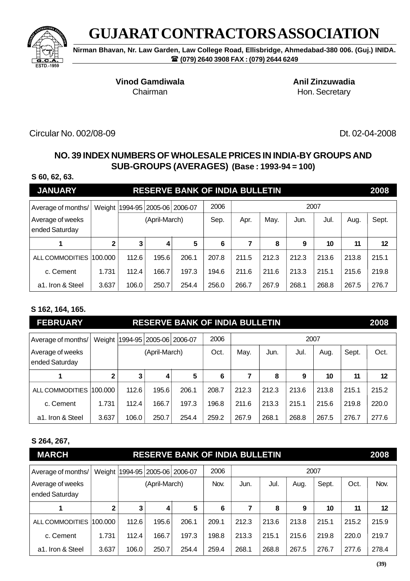

**Nirman Bhavan, Nr. Law Garden, Law College Road, Ellisbridge, Ahmedabad-380 006. (Guj.) INIDA. (079) 2640 3908 FAX : (079) 2644 6249**

**Vinod Gamdiwala Anil Zinzuwadia** 

Chairman **Hon.** Secretary

Circular No. 002/08-09 Dt. 02-04-2008

## **NO. 39 INDEX NUMBERS OF WHOLESALE PRICES IN INDIA-BY GROUPS AND SUB-GROUPS (AVERAGES) (Base : 1993-94 = 100)**

#### **S 60, 62, 63.**

| <b>JANUARY</b>                     |         |                                             |               | <b>RESERVE BANK OF INDIA BULLETIN</b> |       |       |       |       |       |       | 2008  |
|------------------------------------|---------|---------------------------------------------|---------------|---------------------------------------|-------|-------|-------|-------|-------|-------|-------|
| Average of months/                 | Weight  | 2006<br>2007<br>1994-95   2005-06   2006-07 |               |                                       |       |       |       |       |       |       |       |
| Average of weeks<br>ended Saturday |         |                                             | (April-March) |                                       | Sep.  | Apr.  | May.  | Jun.  | Jul.  | Aug.  | Sept. |
|                                    |         | 3                                           | 4             | 5                                     | 6     | 7     | 8     | 9     | 10    | 11    | 12    |
| ALL COMMODITIES                    | 100.000 | 112.6                                       | 195.6         | 206.1                                 | 207.8 | 211.5 | 212.3 | 212.3 | 213.6 | 213.8 | 215.1 |
| c. Cement                          | 1.731   | 112.4                                       | 166.7         | 197.3                                 | 194.6 | 211.6 | 211.6 | 213.3 | 215.1 | 215.6 | 219.8 |
| a1. Iron & Steel                   | 3.637   | 106.0                                       | 250.7         | 254.4                                 | 256.0 | 266.7 | 267.9 | 268.1 | 268.8 | 267.5 | 276.7 |

## **S 162, 164, 165.**

| <b>FEBRUARY</b>                    |              |                                             |               | <b>RESERVE BANK OF INDIA BULLETIN</b> |       |       |       |       |       |       | 2008  |
|------------------------------------|--------------|---------------------------------------------|---------------|---------------------------------------|-------|-------|-------|-------|-------|-------|-------|
| Average of months/                 | Weight       | 2006<br>2007<br>1994-95   2005-06   2006-07 |               |                                       |       |       |       |       |       |       |       |
| Average of weeks<br>ended Saturday |              |                                             | (April-March) |                                       | Oct.  | May.  | Jun.  | Jul.  | Aug.  | Sept. | Oct.  |
|                                    | $\mathbf{2}$ | 3                                           | 4             | 5                                     | 6     | 7     | 8     | 9     | 10    | 11    | 12    |
| ALL COMMODITIES                    | 100.000      | 112.6                                       | 195.6         | 206.1                                 | 208.7 | 212.3 | 212.3 | 213.6 | 213.8 | 215.1 | 215.2 |
| c. Cement                          | 1.731        | 112.4                                       | 166.7         | 197.3                                 | 196.8 | 211.6 | 213.3 | 215.1 | 215.6 | 219.8 | 220.0 |
| a1. Iron & Steel                   | 3.637        | 106.0                                       | 250.7         | 254.4                                 | 259.2 | 267.9 | 268.1 | 268.8 | 267.5 | 276.7 | 277.6 |

### **S 264, 267,**

| <b>MARCH</b>                       |              |       |                             | <b>RESERVE BANK OF INDIA BULLETIN</b> |       |       |       |       |       |       | 2008    |  |
|------------------------------------|--------------|-------|-----------------------------|---------------------------------------|-------|-------|-------|-------|-------|-------|---------|--|
| Average of months/                 | Weight       |       | 1994-95   2005-06   2006-07 |                                       | 2006  | 2007  |       |       |       |       |         |  |
| Average of weeks<br>ended Saturday |              |       | (April-March)               |                                       | Nov.  | Jun.  | Jul.  | Aug.  | Sept. | Oct.  | Nov.    |  |
|                                    | $\mathbf{2}$ | 3     | 4                           | 5                                     | 6     | 7     | 8     | 9     | 10    | 11    | $12 \,$ |  |
| ALL COMMODITIES 100.000            |              | 112.6 | 195.6                       | 206.1                                 | 209.1 | 212.3 | 213.6 | 213.8 | 215.1 | 215.2 | 215.9   |  |
| c. Cement                          | 1.731        | 112.4 | 166.7                       | 197.3                                 | 198.8 | 213.3 | 215.1 | 215.6 | 219.8 | 220.0 | 219.7   |  |
| a1. Iron & Steel                   | 3.637        | 106.0 | 250.7                       | 254.4                                 | 259.4 | 268.1 | 268.8 | 267.5 | 276.7 | 277.6 | 278.4   |  |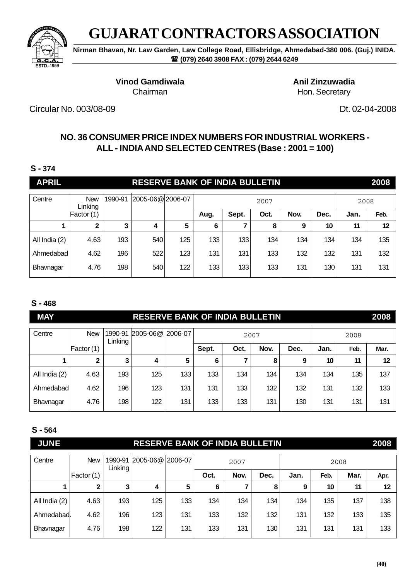

**Nirman Bhavan, Nr. Law Garden, Law College Road, Ellisbridge, Ahmedabad-380 006. (Guj.) INIDA. (079) 2640 3908 FAX : (079) 2644 6249**

> **Vinod Gamdiwala Anil Zinzuwadia** Chairman **Hon.** Secretary

Circular No. 003/08-09 Dt. 02-04-2008

## **NO. 36 CONSUMER PRICE INDEX NUMBERS FOR INDUSTRIAL WORKERS - ALL - INDIA AND SELECTED CENTRES (Base : 2001 = 100)**

### **S - 374**

| <b>APRIL</b>  |                       |         | <b>RESERVE BANK OF INDIA BULLETIN</b> |     |      |       |      |      |      |      | 2008 |
|---------------|-----------------------|---------|---------------------------------------|-----|------|-------|------|------|------|------|------|
| Centre        | <b>New</b><br>Linking | 1990-91 | 2005-06@2006-07                       |     |      |       | 2007 |      |      | 2008 |      |
|               | Factor (1)            |         |                                       |     | Aug. | Sept. | Oct. | Nov. | Dec. | Jan. | Feb. |
|               | 2                     | 3       | 4                                     | 5   | 6    |       | 8    | 9    | 10   | 11   | 12   |
| All India (2) | 4.63                  | 193     | 540                                   | 125 | 133  | 133   | 134  | 134  | 134  | 134  | 135  |
| Ahmedabad     | 4.62                  | 196     | 522                                   | 123 | 131  | 131   | 133  | 132  | 132  | 131  | 132  |
| Bhavnagar     | 4.76                  | 198     | 540                                   | 122 | 133  | 133   | 133  | 131  | 130  | 131  | 131  |

## **S - 468**

| <b>MAY</b>    |              |                    | <b>RESERVE BANK OF INDIA BULLETIN</b> |         |       |      |      |      |      |      | 2008 |
|---------------|--------------|--------------------|---------------------------------------|---------|-------|------|------|------|------|------|------|
| Centre        | <b>New</b>   | 1990-91<br>Linking | $2005 - 06@$                          | 2006-07 |       |      | 2007 |      |      | 2008 |      |
|               | Factor (1)   |                    |                                       |         | Sept. | Oct. | Nov. | Dec. | Jan. | Feb. | Mar. |
|               | $\mathbf{2}$ |                    | 4                                     | 5       | 6     |      | 8    | 9    | 10   | 11   | 12   |
| All India (2) | 4.63         | 193                | 125                                   | 133     | 133   | 134  | 134  | 134  | 134  | 135  | 137  |
| Ahmedabad     | 4.62         | 196                | 123                                   | 131     | 131   | 133  | 132  | 132  | 131  | 132  | 133  |
| Bhavnagar     | 4.76         | 198                | 122                                   | 131     | 133   | 133  | 131  | 130  | 131  | 131  | 131  |

| <b>JUNE</b>   |              |         | <b>RESERVE BANK OF INDIA BULLETIN</b> |     |      |      |      |      |      |      | 2008 |
|---------------|--------------|---------|---------------------------------------|-----|------|------|------|------|------|------|------|
| Centre        | <b>New</b>   | 1990-91 | 2005-06@ 2006-07                      |     |      | 2007 |      |      | 2008 |      |      |
|               | Factor (1)   | Linking |                                       |     | Oct. | Nov. | Dec. | Jan. | Feb. | Mar. | Apr. |
|               | $\mathbf{2}$ | 3       | 4                                     | 5   | 6    | 7    | 8    | 9    | 10   | 11   | 12   |
| All India (2) | 4.63         | 193     | 125                                   | 133 | 134  | 134  | 134  | 134  | 135  | 137  | 138  |
| Ahmedabad.    | 4.62         | 196     | 123                                   | 131 | 133  | 132  | 132  | 131  | 132  | 133  | 135  |
| Bhavnagar     | 4.76         | 198     | 122                                   | 131 | 133  | 131  | 130  | 131  | 131  | 131  | 133  |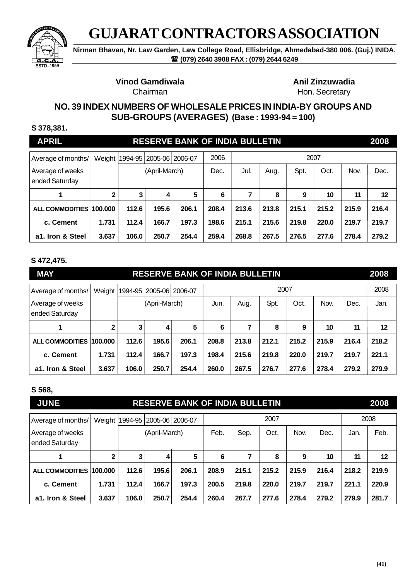

**Nirman Bhavan, Nr. Law Garden, Law College Road, Ellisbridge, Ahmedabad-380 006. (Guj.) INIDA. (079) 2640 3908 FAX : (079) 2644 6249**

**Vinod Gamdiwala Anil Zinzuwadia** 

Chairman **Hon.** Secretary

## **NO. 39 INDEX NUMBERS OF WHOLESALE PRICES IN INDIA-BY GROUPS AND SUB-GROUPS (AVERAGES) (Base : 1993-94 = 100)**

#### **S 378,381.**

| <b>APRIL</b>                       |              |                                                      |               | <b>RESERVE BANK OF INDIA BULLETIN</b> |       |       |       |       |       |       | 2008  |
|------------------------------------|--------------|------------------------------------------------------|---------------|---------------------------------------|-------|-------|-------|-------|-------|-------|-------|
| Average of months/                 |              | 2006<br>2007<br>Weight   1994-95   2005-06   2006-07 |               |                                       |       |       |       |       |       |       |       |
| Average of weeks<br>ended Saturday |              |                                                      | (April-March) |                                       | Dec.  | Jul.  | Aug.  | Spt.  | Oct.  | Nov.  | Dec.  |
|                                    | $\mathbf{2}$ | 3                                                    | 4             | 5                                     | 6     | 7     | 8     | 9     | 10    | 11    | 12    |
| ALL COMMODITIES 100.000            |              | 112.6                                                | 195.6         | 206.1                                 | 208.4 | 213.6 | 213.8 | 215.1 | 215.2 | 215.9 | 216.4 |
| c. Cement                          | 1.731        | 112.4                                                | 166.7         | 197.3                                 | 198.6 | 215.1 | 215.6 | 219.8 | 220.0 | 219.7 | 219.7 |
| a1. Iron & Steel                   | 3.637        | 106.0                                                | 250.7         | 254.4                                 | 259.4 | 268.8 | 267.5 | 276.5 | 277.6 | 278.4 | 279.2 |

#### **S 472,475.**

| <b>MAY</b>                         |              |       |               | <b>RESERVE BANK OF INDIA BULLETIN</b>        |       |                         |       |       |       |       | 2008  |  |
|------------------------------------|--------------|-------|---------------|----------------------------------------------|-------|-------------------------|-------|-------|-------|-------|-------|--|
| Average of months/                 | Weight       |       |               | 2007<br>1994-95   2005-06   2006-07          |       |                         |       |       |       |       |       |  |
| Average of weeks<br>ended Saturday |              |       | (April-March) | Oct.<br>Nov.<br>Dec.<br>Spt.<br>Aug.<br>Jun. |       |                         |       |       |       | Jan.  |       |  |
|                                    | $\mathbf{2}$ | 3     | 4             | 5                                            | 6     | 7<br>8<br>10<br>11<br>9 |       |       |       |       |       |  |
| ALL COMMODITIES 100.000            |              | 112.6 | 195.6         | 206.1                                        | 208.8 | 213.8                   | 212.1 | 215.2 | 215.9 | 216.4 | 218.2 |  |
| c. Cement                          | 1.731        | 112.4 | 166.7         | 197.3                                        | 198.4 | 215.6                   | 219.8 | 220.0 | 219.7 | 219.7 | 221.1 |  |
| a1. Iron & Steel                   | 3.637        | 106.0 | 250.7         | 254.4                                        | 260.0 | 267.5                   | 276.7 | 277.6 | 278.4 | 279.2 | 279.9 |  |

#### **S 568,**

| <b>JUNE</b>                        |         |                                      |               | <b>RESERVE BANK OF INDIA BULLETIN</b> |       |       |       |       |       |       | 2008  |
|------------------------------------|---------|--------------------------------------|---------------|---------------------------------------|-------|-------|-------|-------|-------|-------|-------|
| Average of months/                 |         | Weight   1994-95   2005-06   2006-07 |               |                                       |       |       |       |       | 2008  |       |       |
| Average of weeks<br>ended Saturday |         |                                      | (April-March) |                                       | Feb.  | Sep.  | Oct.  | Nov.  | Dec.  | Jan.  | Feb.  |
|                                    | 2       | 3                                    | 4             | 5                                     | 6     | 7     | 8     | 9     | 10    | 11    | 12    |
| <b>ALL COMMODITIES</b>             | 100.000 | 112.6                                | 195.6         | 206.1                                 | 208.9 | 215.1 | 215.2 | 215.9 | 216.4 | 218.2 | 219.9 |
| c. Cement                          | 1.731   | 112.4                                | 166.7         | 197.3                                 | 200.5 | 219.8 | 220.0 | 219.7 | 219.7 | 221.1 | 220.9 |
| a1. Iron & Steel                   | 3.637   | 106.0                                | 250.7         | 254.4                                 | 260.4 | 267.7 | 277.6 | 278.4 | 279.2 | 279.9 | 281.7 |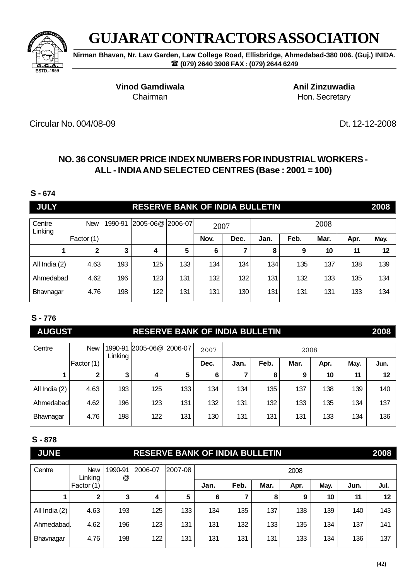

**Nirman Bhavan, Nr. Law Garden, Law College Road, Ellisbridge, Ahmedabad-380 006. (Guj.) INIDA. (079) 2640 3908 FAX : (079) 2644 6249**

**Vinod Gamdiwala Anil Zinzuwadia** 

Chairman **Hon.** Secretary

Circular No. 004/08-09 Dt. 12-12-2008

# **NO. 36 CONSUMER PRICE INDEX NUMBERS FOR INDUSTRIAL WORKERS - ALL - INDIA AND SELECTED CENTRES (Base : 2001 = 100)**

### **S - 674**

| <b>JULY</b>       |             |         | <b>RESERVE BANK OF INDIA BULLETIN</b> |     |      |      |      |      |      |      | 2008 |  |
|-------------------|-------------|---------|---------------------------------------|-----|------|------|------|------|------|------|------|--|
| Centre<br>Linking | <b>New</b>  | 1990-91 | 2005-06@ 2006-07                      |     | 2007 |      | 2008 |      |      |      |      |  |
|                   | Factor (1)  |         |                                       |     | Nov. | Dec. | Jan. | Feb. | Mar. | Apr. | May. |  |
|                   | $\mathbf 2$ | 3       | 4                                     | 5   | 6    |      | 8    | 9    | 10   | 11   | 12   |  |
| All India (2)     | 4.63        | 193     | 125                                   | 133 | 134  | 134  | 134  | 135  | 137  | 138  | 139  |  |
| Ahmedabadl        | 4.62        | 196     | 123                                   | 131 | 132  | 132  | 131  | 132  | 133  | 135  | 134  |  |
| Bhavnagar         | 4.76        | 198     | 122                                   | 131 | 131  | 130  | 131  | 131  | 131  | 133  | 134  |  |

## **S - 776**

# **AUGUST RESERVE BANK OF INDIA BULLETIN 2008**

| Centre        | <b>New</b>   | 1990-91<br>Linking | 2005-06@ 2006-07 |     | 2007 | 2008 |      |      |      |      |      |
|---------------|--------------|--------------------|------------------|-----|------|------|------|------|------|------|------|
|               | Factor (1)   |                    |                  |     | Dec. | Jan. | Feb. | Mar. | Apr. | May. | Jun. |
|               | $\mathbf{2}$ | 3                  | 4                | 5   | 6    | ⇁    | 8    | 9    | 10   | 11   | 12   |
| All India (2) | 4.63         | 193                | 125              | 133 | 134  | 134  | 135  | 137  | 138  | 139  | 140  |
| Ahmedabad     | 4.62         | 196                | 123              | 131 | 132  | 131  | 132  | 133  | 135  | 134  | 137  |
| Bhavnagar     | 4.76         | 198                | 122              | 131 | 130  | 131  | 131  | 131  | 133  | 134  | 136  |

| <b>JUNE</b>   |                       |              | <b>RESERVE BANK OF INDIA BULLETIN</b> |         |      |      |      |      |      |      | 2008 |
|---------------|-----------------------|--------------|---------------------------------------|---------|------|------|------|------|------|------|------|
| Centre        | <b>New</b><br>Linking | 1990-91<br>@ | 2006-07                               | 2007-08 |      |      |      | 2008 |      |      |      |
|               | Factor (1)            |              |                                       |         | Jan. | Feb. | Mar. | Apr. | May. | Jun. | Jul. |
|               | $\mathbf{2}$          | 3            | 4                                     | 5       | 6    |      | 8    | 9    | 10   | 11   | 12   |
| All India (2) | 4.63                  | 193          | 125                                   | 133     | 134  | 135  | 137  | 138  | 139  | 140  | 143  |
| Ahmedabad.    | 4.62                  | 196          | 123                                   | 131     | 131  | 132  | 133  | 135  | 134  | 137  | 141  |
| Bhavnagar     | 4.76                  | 198          | 122                                   | 131     | 131  | 131  | 131  | 133  | 134  | 136  | 137  |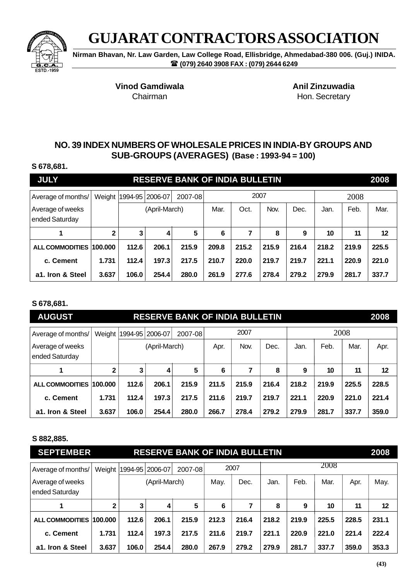

**Nirman Bhavan, Nr. Law Garden, Law College Road, Ellisbridge, Ahmedabad-380 006. (Guj.) INIDA. (079) 2640 3908 FAX : (079) 2644 6249**

Vinod Gamdiwala **Anil Zinzuwadia** 

Chairman **Hon.** Secretary

## **NO. 39 INDEX NUMBERS OF WHOLESALE PRICES IN INDIA-BY GROUPS AND SUB-GROUPS (AVERAGES) (Base : 1993-94 = 100)**

#### **S 678,681.**

| <b>JULY</b>                        |              |       |                            | <b>RESERVE BANK OF INDIA BULLETIN</b> |       |       |       |       |       |       | 2008    |
|------------------------------------|--------------|-------|----------------------------|---------------------------------------|-------|-------|-------|-------|-------|-------|---------|
| Average of months/                 |              |       | Weight   1994-95   2006-07 | 2007-08                               |       | 2007  |       |       |       | 2008  |         |
| Average of weeks<br>ended Saturday |              |       | (April-March)              |                                       | Mar.  | Oct.  | Nov.  | Dec.  | Jan.  | Feb.  | Mar.    |
|                                    | $\mathbf{2}$ | 3     | 4                          | 5                                     | 6     | 7     | 8     | 9     | 10    | 11    | $12 \,$ |
| <b>ALL COMMODITIES</b>             | 100.000      | 112.6 | 206.1                      | 215.9                                 | 209.8 | 215.2 | 215.9 | 216.4 | 218.2 | 219.9 | 225.5   |
| c. Cement                          | 1.731        | 112.4 | 197.3                      | 217.5                                 | 210.7 | 220.0 | 219.7 | 219.7 | 221.1 | 220.9 | 221.0   |
| a1. Iron & Steel                   | 3.637        | 106.0 | 254.4                      | 280.0                                 | 261.9 | 277.6 | 278.4 | 279.2 | 279.9 | 281.7 | 337.7   |

### **S 678,681.**

| <b>AUGUST</b>                      |         |       |                 | <b>RESERVE BANK OF INDIA BULLETIN</b> |       |       |       |       |       |       | 2008  |
|------------------------------------|---------|-------|-----------------|---------------------------------------|-------|-------|-------|-------|-------|-------|-------|
| Average of months/                 | Weight  |       | 1994-95 2006-07 | 2007-08                               |       | 2007  |       |       |       | 2008  |       |
| Average of weeks<br>ended Saturday |         |       | (April-March)   |                                       | Apr.  | Nov.  | Dec.  | Jan.  | Feb.  | Mar.  | Apr.  |
|                                    | 2       | 3     | 4               | 5                                     | 6     |       | 8     | 9     | 10    | 11    | 12    |
| <b>ALL COMMODITIES</b>             | 100.000 | 112.6 | 206.1           | 215.9                                 | 211.5 | 215.9 | 216.4 | 218.2 | 219.9 | 225.5 | 228.5 |
| c. Cement                          | 1.731   | 112.4 | 197.3           | 217.5                                 | 211.6 | 219.7 | 219.7 | 221.1 | 220.9 | 221.0 | 221.4 |
| a1. Iron & Steel                   | 3.637   | 106.0 | 254.4           | 280.0                                 | 266.7 | 278.4 | 279.2 | 279.9 | 281.7 | 337.7 | 359.0 |

#### **S 882,885.**

| <b>SEPTEMBER</b>                   |              |                 |               | <b>RESERVE BANK OF INDIA BULLETIN</b> |       |       |       |       |       |       | 2008  |
|------------------------------------|--------------|-----------------|---------------|---------------------------------------|-------|-------|-------|-------|-------|-------|-------|
| Average of months/                 | Weight       | 1994-95 2006-07 |               | 2007-08                               |       | 2007  |       |       | 2008  |       |       |
| Average of weeks<br>ended Saturday |              |                 | (April-March) |                                       | May.  | Dec.  | Jan.  | Feb.  | Mar.  | Apr.  | May.  |
| 1                                  | $\mathbf{2}$ | 3               | 4             | 5                                     | 6     |       | 8     | 9     | 10    | 11    | 12    |
| <b>ALL COMMODITIES</b>             | 100.000      | 112.6           | 206.1         | 215.9                                 | 212.3 | 216.4 | 218.2 | 219.9 | 225.5 | 228.5 | 231.1 |
| c. Cement                          | 1.731        | 112.4           | 197.3         | 217.5                                 | 211.6 | 219.7 | 221.1 | 220.9 | 221.0 | 221.4 | 222.4 |
| a1. Iron & Steel                   | 3.637        | 106.0           | 254.4         | 280.0                                 | 267.9 | 279.2 | 279.9 | 281.7 | 337.7 | 359.0 | 353.3 |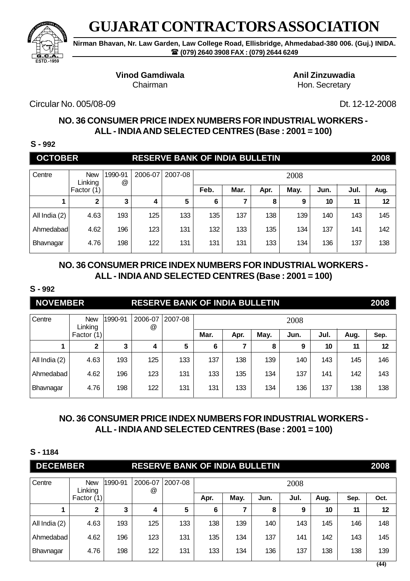

**Nirman Bhavan, Nr. Law Garden, Law College Road, Ellisbridge, Ahmedabad-380 006. (Guj.) INIDA. (079) 2640 3908 FAX : (079) 2644 6249**

## **Vinod Gamdiwala Anil Zinzuwadia**

Chairman **Hon.** Secretary

Circular No. 005/08-09 Dt. 12-12-2008

# **NO. 36 CONSUMER PRICE INDEX NUMBERS FOR INDUSTRIAL WORKERS - ALL - INDIA AND SELECTED CENTRES (Base : 2001 = 100)**

**S - 992**

| <b>OCTOBER</b> |                       |              |         | <b>RESERVE BANK OF INDIA BULLETIN</b> |      |      |      |      |      |      | 2008 |
|----------------|-----------------------|--------------|---------|---------------------------------------|------|------|------|------|------|------|------|
| Centre         | <b>New</b><br>Linking | 1990-91<br>@ | 2006-07 | 2007-08                               |      |      |      | 2008 |      |      |      |
|                | Factor (1)            |              |         |                                       | Feb. | Mar. | Apr. | May. | Jun. | Jul. | Aug. |
|                | $\mathbf{2}$          | 3            | 4       | 5                                     | 6    |      | 8    | 9    | 10   | 11   | 12   |
| All India (2)  | 4.63                  | 193          | 125     | 133                                   | 135  | 137  | 138  | 139  | 140  | 143  | 145  |
| Ahmedabadl     | 4.62                  | 196          | 123     | 131                                   | 132  | 133  | 135  | 134  | 137  | 141  | 142  |
| Bhavnagar      | 4.76                  | 198          | 122     | 131                                   | 131  | 131  | 133  | 134  | 136  | 137  | 138  |

# **NO. 36 CONSUMER PRICE INDEX NUMBERS FOR INDUSTRIAL WORKERS - ALL - INDIA AND SELECTED CENTRES (Base : 2001 = 100)**

### **S - 992**

| <b>NOVEMBER</b> |                       |         |                                 | <b>RESERVE BANK OF INDIA BULLETIN</b> |      |      |      |      |      |      | 2008 |
|-----------------|-----------------------|---------|---------------------------------|---------------------------------------|------|------|------|------|------|------|------|
| Centre          | <b>New</b><br>Linking | 1990-91 | 2006-07<br>$^{\textregistered}$ | 2007-08                               |      |      |      | 2008 |      |      |      |
|                 | Factor (1)            |         |                                 |                                       | Mar. | Apr. | May. | Jun. | Jul. | Aug. | Sep. |
|                 | 2                     | 3       | 4                               | 5                                     | 6    |      | 8    | 9    | 10   | 11   | 12   |
| All India (2)   | 4.63                  | 193     | 125                             | 133                                   | 137  | 138  | 139  | 140  | 143  | 145  | 146  |
| Ahmedabad       | 4.62                  | 196     | 123                             | 131                                   | 133  | 135  | 134  | 137  | 141  | 142  | 143  |
| Bhavnagar       | 4.76                  | 198     | 122                             | 131                                   | 131  | 133  | 134  | 136  | 137  | 138  | 138  |

# **NO. 36 CONSUMER PRICE INDEX NUMBERS FOR INDUSTRIAL WORKERS - ALL - INDIA AND SELECTED CENTRES (Base : 2001 = 100)**

| <b>DECEMBER</b> |                       |         |                                 | <b>RESERVE BANK OF INDIA BULLETIN</b> |      |      |      |      |      |      | 2008 |
|-----------------|-----------------------|---------|---------------------------------|---------------------------------------|------|------|------|------|------|------|------|
| Centre          | <b>New</b><br>Linking | 1990-91 | 2006-07<br>$^{\textregistered}$ | 2007-08                               |      |      |      | 2008 |      |      |      |
|                 | Factor (1)            |         |                                 |                                       | Apr. | May. | Jun. | Jul. | Aug. | Sep. | Oct. |
|                 | 2                     | 3       | 4                               | 5                                     | 6    |      | 8    | 9    | 10   | 11   | 12   |
| All India (2)   | 4.63                  | 193     | 125                             | 133                                   | 138  | 139  | 140  | 143  | 145  | 146  | 148  |
| Ahmedabad       | 4.62                  | 196     | 123                             | 131                                   | 135  | 134  | 137  | 141  | 142  | 143  | 145  |
| Bhavnagar       | 4.76                  | 198     | 122                             | 131                                   | 133  | 134  | 136  | 137  | 138  | 138  | 139  |
|                 |                       |         |                                 |                                       |      |      |      |      |      |      | (44) |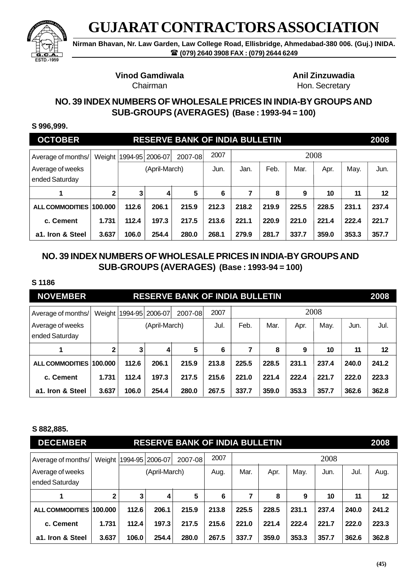

**Nirman Bhavan, Nr. Law Garden, Law College Road, Ellisbridge, Ahmedabad-380 006. (Guj.) INIDA. (079) 2640 3908 FAX : (079) 2644 6249**

# **Vinod Gamdiwala** Anil Zinzuwadia

# Chairman **Hon.** Secretary

## **NO. 39 INDEX NUMBERS OF WHOLESALE PRICES IN INDIA-BY GROUPS AND SUB-GROUPS (AVERAGES) (Base : 1993-94 = 100)**

#### **S 996,999.**

| <b>OCTOBER</b>                     |              |       |                            | <b>RESERVE BANK OF INDIA BULLETIN</b> |       |       |       |       |       |       | 2008  |
|------------------------------------|--------------|-------|----------------------------|---------------------------------------|-------|-------|-------|-------|-------|-------|-------|
| Average of months/                 |              |       | Weight   1994-95   2006-07 | 2007-08                               | 2007  |       |       |       | 2008  |       |       |
| Average of weeks<br>ended Saturday |              |       | (April-March)              |                                       | Jun.  | Jan.  | Feb.  | Mar.  | Apr.  | May.  | Jun.  |
|                                    | $\mathbf{2}$ | 3     | 4                          | 5                                     | 6     |       | 8     | 9     | 10    | 11    | 12    |
| <b>ALL COMMODITIES</b>             | 100.000      | 112.6 | 206.1                      | 215.9                                 | 212.3 | 218.2 | 219.9 | 225.5 | 228.5 | 231.1 | 237.4 |
| c. Cement                          | 1.731        | 112.4 | 197.3                      | 217.5                                 | 213.6 | 221.1 | 220.9 | 221.0 | 221.4 | 222.4 | 221.7 |
| a1. Iron & Steel                   | 3.637        | 106.0 | 254.4                      | 280.0                                 | 268.1 | 279.9 | 281.7 | 337.7 | 359.0 | 353.3 | 357.7 |

## **NO. 39 INDEX NUMBERS OF WHOLESALE PRICES IN INDIA-BY GROUPS AND SUB-GROUPS (AVERAGES) (Base : 1993-94 = 100)**

#### **S 1186**

| <b>NOVEMBER</b>                    |              |       |                            | <b>RESERVE BANK OF INDIA BULLETIN</b> |       |       |       |       |       |       | 2008    |
|------------------------------------|--------------|-------|----------------------------|---------------------------------------|-------|-------|-------|-------|-------|-------|---------|
| Average of months/                 |              |       | Weight   1994-95   2006-07 | 2007-08                               | 2007  |       |       |       | 2008  |       |         |
| Average of weeks<br>ended Saturday |              |       | (April-March)              |                                       | Jul.  | Feb.  | Mar.  | Apr.  | May.  | Jun.  | Jul.    |
|                                    | $\mathbf{2}$ | 3     | 4                          | 5                                     | 6     | 7     | 8     | 9     | 10    | 11    | $12 \,$ |
| <b>ALL COMMODITIES</b>             | 100.000      | 112.6 | 206.1                      | 215.9                                 | 213.8 | 225.5 | 228.5 | 231.1 | 237.4 | 240.0 | 241.2   |
| c. Cement                          | 1.731        | 112.4 | 197.3                      | 217.5                                 | 215.6 | 221.0 | 221.4 | 222.4 | 221.7 | 222.0 | 223.3   |
| a1. Iron & Steel                   | 3.637        | 106.0 | 254.4                      | 280.0                                 | 267.5 | 337.7 | 359.0 | 353.3 | 357.7 | 362.6 | 362.8   |

#### **S 882,885.**

| <b>DECEMBER</b>                    |              |                            |               | <b>RESERVE BANK OF INDIA BULLETIN</b> |       |       |       |       |       |       | 2008  |
|------------------------------------|--------------|----------------------------|---------------|---------------------------------------|-------|-------|-------|-------|-------|-------|-------|
| Average of months/                 |              | Weight   1994-95   2006-07 |               | 2007-08                               | 2007  |       |       |       | 2008  |       |       |
| Average of weeks<br>ended Saturday |              |                            | (April-March) |                                       | Aug.  | Mar.  | Apr.  | May.  | Jun.  | Jul.  | Aug.  |
| 1                                  | $\mathbf{2}$ | 3                          | 4             | 5                                     | 6     | 7     | 8     | 9     | 10    | 11    | 12    |
| ALL COMMODITIES 100.000            |              | 112.6                      | 206.1         | 215.9                                 | 213.8 | 225.5 | 228.5 | 231.1 | 237.4 | 240.0 | 241.2 |
| c. Cement                          | 1.731        | 112.4                      | 197.3         | 217.5                                 | 215.6 | 221.0 | 221.4 | 222.4 | 221.7 | 222.0 | 223.3 |
| a1. Iron & Steel                   | 3.637        | 106.0                      | 254.4         | 280.0                                 | 267.5 | 337.7 | 359.0 | 353.3 | 357.7 | 362.6 | 362.8 |